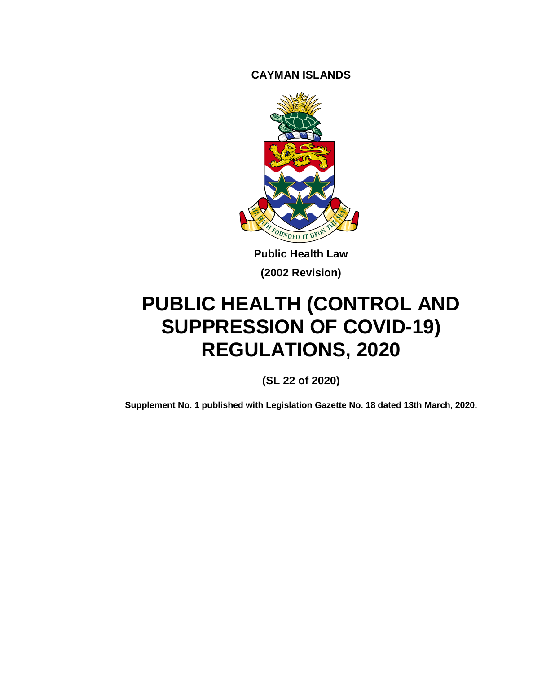**CAYMAN ISLANDS**



**Public Health Law (2002 Revision)**

# **PUBLIC HEALTH (CONTROL AND SUPPRESSION OF COVID-19) REGULATIONS, 2020**

**(SL 22 of 2020)**

**Supplement No. 1 published with Legislation Gazette No. 18 dated 13th March, 2020.**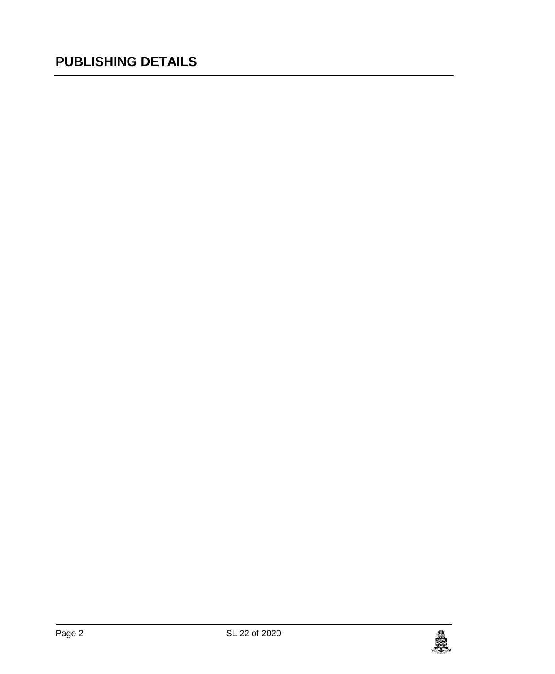# **PUBLISHING DETAILS**

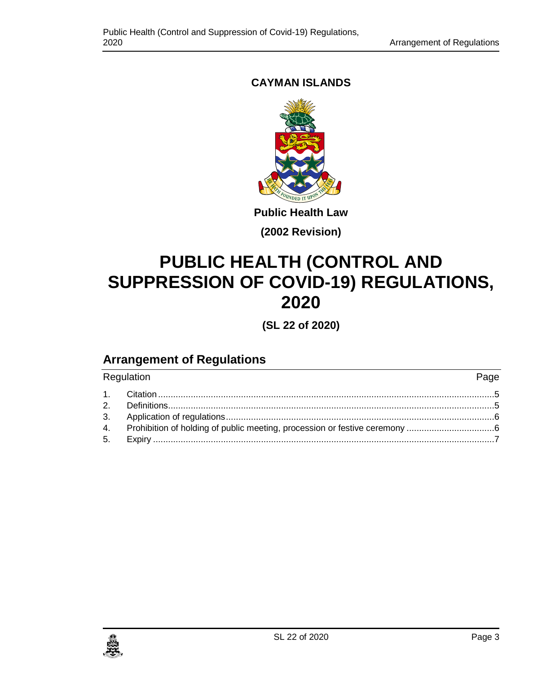## **CAYMAN ISLANDS**



**Public Health Law**

**(2002 Revision)**

# **PUBLIC HEALTH (CONTROL AND SUPPRESSION OF COVID-19) REGULATIONS, 2020**

**(SL 22 of 2020)**

# **Arrangement of Regulations**

| Regulation |                                                                             | Page |
|------------|-----------------------------------------------------------------------------|------|
|            |                                                                             |      |
|            |                                                                             |      |
|            |                                                                             |      |
|            | 4. Prohibition of holding of public meeting, procession or festive ceremony |      |
|            |                                                                             |      |

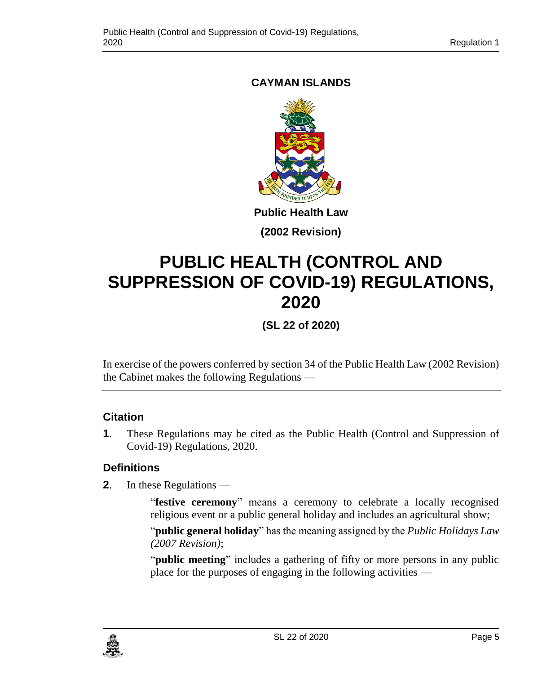## <span id="page-4-0"></span>**CAYMAN ISLANDS**



### **(2002 Revision)**

# **PUBLIC HEALTH (CONTROL AND SUPPRESSION OF COVID-19) REGULATIONS, 2020**

**(SL 22 of 2020)**

In exercise of the powers conferred by section 34 of the Public Health Law (2002 Revision) the Cabinet makes the following Regulations —

#### **1. Citation**

**1**. These Regulations may be cited as the Public Health (Control and Suppression of Covid-19) Regulations, 2020.

## <span id="page-4-1"></span>**2. Definitions**

**2**. In these Regulations —

"**festive ceremony**" means a ceremony to celebrate a locally recognised religious event or a public general holiday and includes an agricultural show;

"**public general holiday**" has the meaning assigned by the *Public Holidays Law (2007 Revision)*;

"**public meeting**" includes a gathering of fifty or more persons in any public place for the purposes of engaging in the following activities —

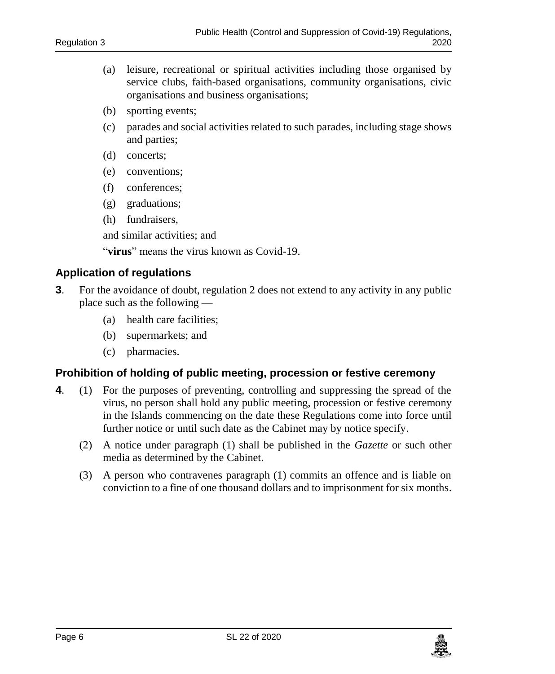- (a) leisure, recreational or spiritual activities including those organised by service clubs, faith-based organisations, community organisations, civic organisations and business organisations;
- (b) sporting events;
- (c) parades and social activities related to such parades, including stage shows and parties;
- (d) concerts;
- (e) conventions;
- (f) conferences;
- (g) graduations;
- (h) fundraisers,

and similar activities; and

"**virus**" means the virus known as Covid-19.

#### <span id="page-5-0"></span>**3. Application of regulations**

- **3**. For the avoidance of doubt, regulation 2 does not extend to any activity in any public place such as the following —
	- (a) health care facilities;
	- (b) supermarkets; and
	- (c) pharmacies.

#### <span id="page-5-1"></span>**4. Prohibition of holding of public meeting, procession or festive ceremony**

- **4**. (1) For the purposes of preventing, controlling and suppressing the spread of the virus, no person shall hold any public meeting, procession or festive ceremony in the Islands commencing on the date these Regulations come into force until further notice or until such date as the Cabinet may by notice specify.
	- (2) A notice under paragraph (1) shall be published in the *Gazette* or such other media as determined by the Cabinet.
	- (3) A person who contravenes paragraph (1) commits an offence and is liable on conviction to a fine of one thousand dollars and to imprisonment for six months.